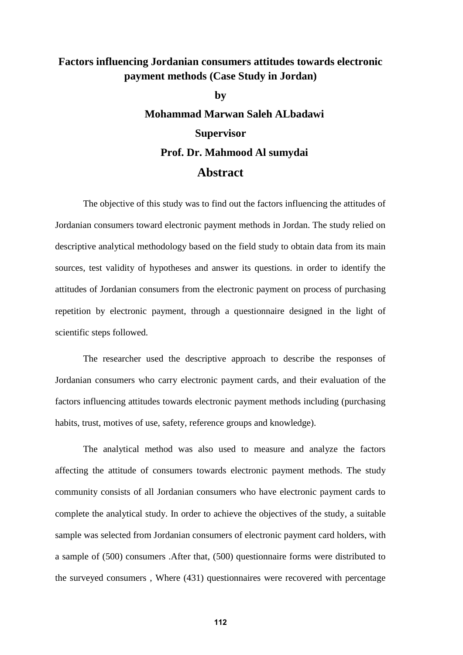## **Factors influencing Jordanian consumers attitudes towards electronic payment methods (Case Study in Jordan)**

**by Mohammad Marwan Saleh ALbadawi Supervisor Prof. Dr. Mahmood Al sumydai Abstract**

The objective of this study was to find out the factors influencing the attitudes of Jordanian consumers toward electronic payment methods in Jordan. The study relied on descriptive analytical methodology based on the field study to obtain data from its main sources, test validity of hypotheses and answer its questions. in order to identify the attitudes of Jordanian consumers from the electronic payment on process of purchasing repetition by electronic payment, through a questionnaire designed in the light of scientific steps followed.

The researcher used the descriptive approach to describe the responses of Jordanian consumers who carry electronic payment cards, and their evaluation of the factors influencing attitudes towards electronic payment methods including (purchasing habits, trust, motives of use, safety, reference groups and knowledge).

The analytical method was also used to measure and analyze the factors affecting the attitude of consumers towards electronic payment methods. The study community consists of all Jordanian consumers who have electronic payment cards to complete the analytical study. In order to achieve the objectives of the study, a suitable sample was selected from Jordanian consumers of electronic payment card holders, with a sample of (500) consumers .After that, (500) questionnaire forms were distributed to the surveyed consumers , Where (431) questionnaires were recovered with percentage